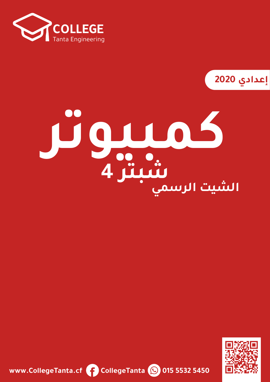

**2020**

## **كمبيوتر الشيت الرسميشبتر 4**



**www.CollegeTanta.cf CollegeTanta © 015 5532 5450**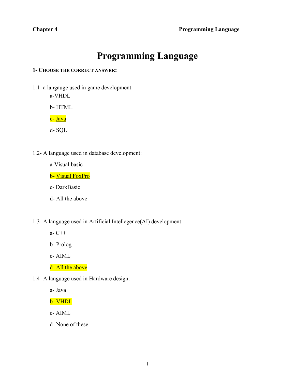## **Programming Language**

**1- CHOOSE THE CORRECT ANSWER:**

1.1- a langauge used in game development:

a-VHDL

b- HTML

<mark>c- Java</mark>

d- SQL

- 1.2- A language used in database development:
	- a-Visual basic

b- Visual FoxPro

- c- DarkBasic
- d- All the above
- 1.3- A language used in Artificial Intellegence(AI) development
	- a- C++
	- b- Prolog

c- AIML

- d- All the above
- 1.4- A language used in Hardware design:

a- Java

b- VHDL

- c- AIML
- d- None of these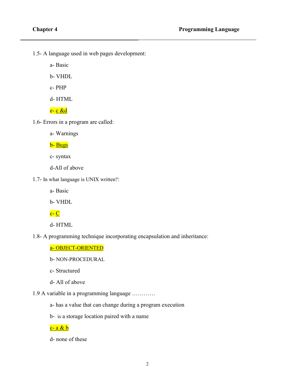1.5- A language used in web pages development:

a- Basic

b- VHDL

c- PHP

d- HTML

<mark>e- <u>c &d</u></mark>

1.6- Errors in a program are called:

a- Warnings

<mark>b- <u>Bugs</u></mark>

c- syntax

d-All of above

1.7- In what language is UNIX written?:

a- Basic

b- VHDL

 $c - C$ 

d- HTML

1.8- A programming technique incorporating encapsulation and inheritance:

a- OBJECT-ORIENTED

b- NON-PROCEDURAL

c- Structured

d- All of above

1.9 A variable in a programming language …………

a- has a value that can change during a program execution

b- is a storage location paired with a name

c- a & b

d- none of these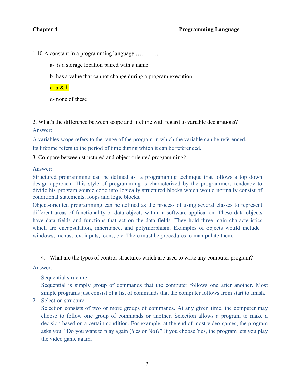1.10 A constant in a programming language …………

a- is a storage location paired with a name

b- has a value that cannot change during a program execution

c- a & b

d- none of these

2. What's the difference between scope and lifetime with regard to variable declarations? Answer:

A variables scope refers to the range of the program in which the variable can be referenced.

Its lifetime refers to the period of time during which it can be referenced.

3. Compare between structured and object oriented programming?

Answer:

Structured programming can be defined as a programming technique that follows a top down design approach. This style of programming is characterized by the programmers tendency to divide his program source code into logically structured blocks which would normally consist of conditional statements, loops and logic blocks.

Object-oriented programming can be defined as the process of using several classes to represent different areas of functionality or data objects within a software application. These data objects have data fields and functions that act on the data fields. They hold three main characteristics which are encapsulation, inheritance, and polymorphism. Examples of objects would include windows, menus, text inputs, icons, etc. There must be procedures to manipulate them.

4. What are the types of control structures which are used to write any computer program?

Answer:

1. Sequential structure

Sequential is simply group of commands that the computer follows one after another. Most simple programs just consist of a list of commands that the computer follows from start to finish.

2. Selection structure

Selection consists of two or more groups of commands. At any given time, the computer may choose to follow one group of commands or another. Selection allows a program to make a decision based on a certain condition. For example, at the end of most video games, the program asks you, "Do you want to play again (Yes or No)?" If you choose Yes, the program lets you play the video game again.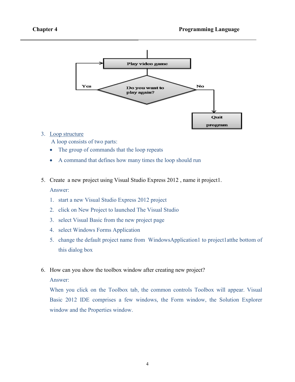

## 3. Loop structure

A loop consists of two parts:

- The group of commands that the loop repeats
- A command that defines how many times the loop should run
- 5. Create a new project using Visual Studio Express 2012 , name it project1. Answer:
	- 1. start a new Visual Studio Express 2012 project
	- 2. click on New Project to launched The Visual Studio
	- 3. select Visual Basic from the new project page
	- 4. select Windows Forms Application
	- 5. change the default project name from WindowsApplication1 to project1atthe bottom of this dialog box
- 6. How can you show the toolbox window after creating new project?

Answer:

When you click on the Toolbox tab, the common controls Toolbox will appear. Visual Basic 2012 IDE comprises a few windows, the Form window, the Solution Explorer window and the Properties window.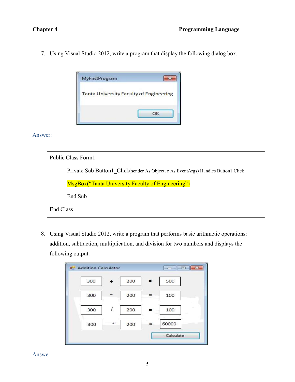7. Using Visual Studio 2012, write a program that display the following dialog box.



Answer:

| Public Class Form1                                                                    |
|---------------------------------------------------------------------------------------|
| Private Sub Button 1 Click (sender As Object, e As EventArgs) Handles Button 1. Click |
| <b>MsgBox</b> ("Tanta University Faculty of Engineering")                             |
| End Sub                                                                               |
| End Class                                                                             |

8. Using Visual Studio 2012, write a program that performs basic arithmetic operations: addition, subtraction, multiplication, and division for two numbers and displays the following output.

| a Addition Calculator |                  |     |     | ale x     |
|-----------------------|------------------|-----|-----|-----------|
| 300                   | $\ddot{}$        | 200 | $=$ | 500       |
| 300                   |                  | 200 | $=$ | 100       |
| 300                   | $\boldsymbol{I}$ | 200 | $=$ | 100       |
| 300                   | $\star$          | 200 | =   | 60000     |
|                       |                  |     |     | Calculate |

Answer: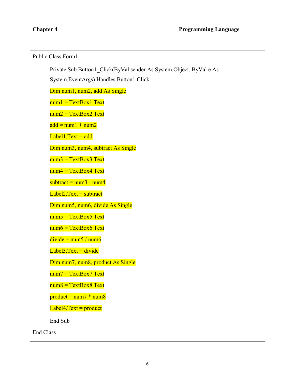```
Public Class Form1
      Private Sub Button1_Click(ByVal sender As System.Object, ByVal e As 
      System.EventArgs) Handles Button1.Click
      Dim num1, num2, add As Single
      num1 = TextBox1.Textnum2 = TextBox2.Textadd = num1 + num2Label1. Text = addDim num3, num4, subtract As Single
      num3 = TextBox3.Textnum4 = TextBox4.Textsubtract = num3 - num4Label2.Text = subtractDim num5, num6, divide As Single
      num5 = TextBox5.Textnum6 = TextBox6.Textdivide = num5 / num6Label3.Text = divideDim num7, num8, product As Single
      num7 = TextBox7.Textnum8 = TextBox8.Textproduct = num7 * num8Label 4. Text = productEnd Sub
End Class
```